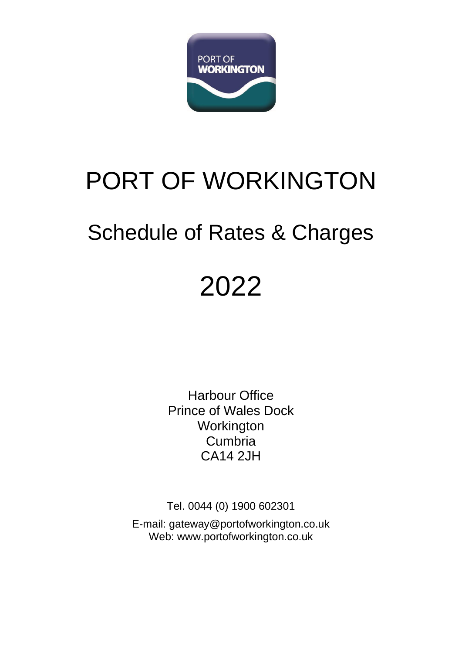

# PORT OF WORKINGTON

## Schedule of Rates & Charges

# 2022

Harbour Office Prince of Wales Dock **Workington** Cumbria CA14 2JH

Tel. 0044 (0) 1900 602301

E-mail: [gateway@portofworkington.co.uk](mailto:gateway@portofworkington.co.uk) Web: [www.portofworkington.co.uk](http://www.portofworkington.co.uk/)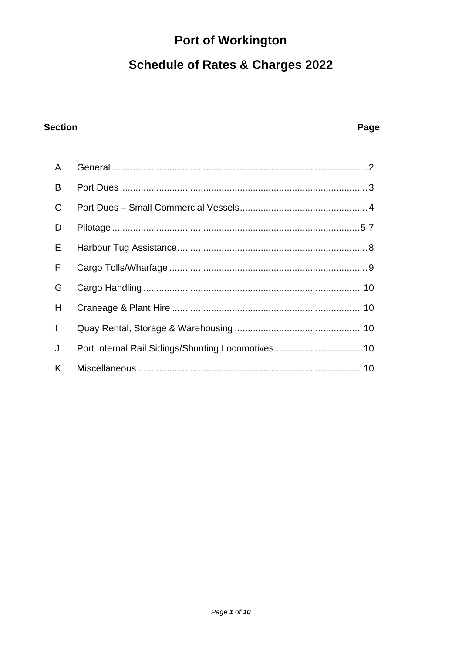## **Port of Workington**

## **Schedule of Rates & Charges 2022**

#### **Section**

#### Page

| $\mathsf{A}$ |  |
|--------------|--|
| B            |  |
| $\mathsf{C}$ |  |
| D            |  |
| E            |  |
| F            |  |
| G            |  |
| H            |  |
| $\mathbf{L}$ |  |
| J            |  |
| K            |  |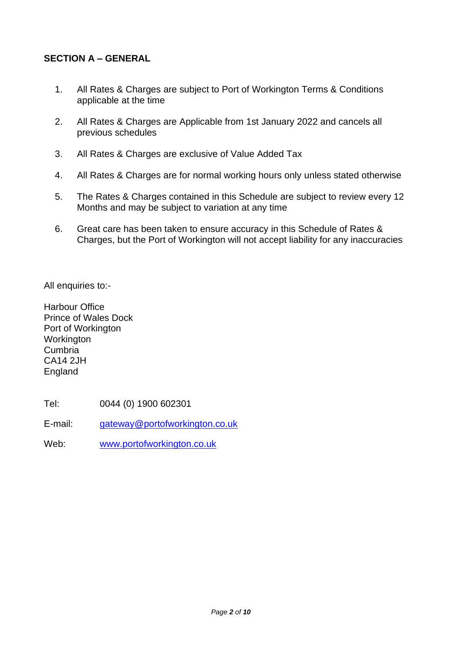#### **SECTION A – GENERAL**

- 1. All Rates & Charges are subject to Port of Workington Terms & Conditions applicable at the time
- 2. All Rates & Charges are Applicable from 1st January 2022 and cancels all previous schedules
- 3. All Rates & Charges are exclusive of Value Added Tax
- 4. All Rates & Charges are for normal working hours only unless stated otherwise
- 5. The Rates & Charges contained in this Schedule are subject to review every 12 Months and may be subject to variation at any time
- 6. Great care has been taken to ensure accuracy in this Schedule of Rates & Charges, but the Port of Workington will not accept liability for any inaccuracies

All enquiries to:-

Harbour Office Prince of Wales Dock Port of Workington **Workington** Cumbria CA14 2JH **England** 

Tel: 0044 (0) 1900 602301

E-mail: [gateway@portofworkington.co.uk](mailto:gateway@portofworkington.co.uk)

Web: [www.portofworkington.co.uk](http://www.portofworkington.co.uk/)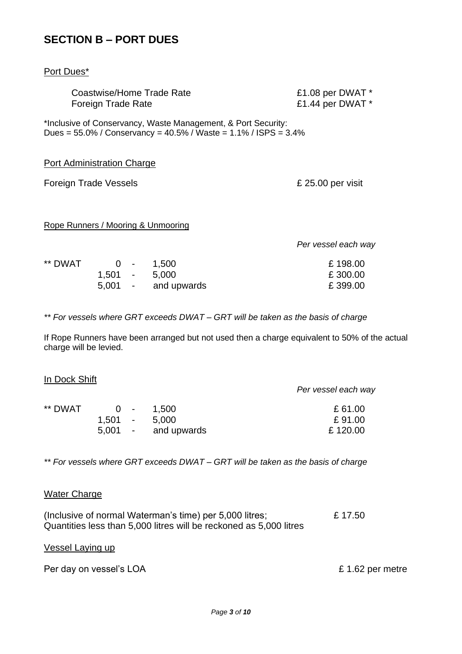#### **SECTION B – PORT DUES**

| Port Dues*                                                                                                                                   |                                      |  |  |
|----------------------------------------------------------------------------------------------------------------------------------------------|--------------------------------------|--|--|
| Coastwise/Home Trade Rate<br>Foreign Trade Rate                                                                                              | £1.08 per DWAT *<br>£1.44 per DWAT * |  |  |
| *Inclusive of Conservancy, Waste Management, & Port Security:<br>Dues = $55.0\%$ / Conservancy = $40.5\%$ / Waste = $1.1\%$ / ISPS = $3.4\%$ |                                      |  |  |
| Port Administration Charge                                                                                                                   |                                      |  |  |
| Foreign Trade Vessels                                                                                                                        | £ 25.00 per visit                    |  |  |
| Rope Runners / Mooring & Unmooring                                                                                                           |                                      |  |  |
|                                                                                                                                              | Per vessel each way                  |  |  |
| ** DWAT<br>$0 \quad - \quad 1,500$<br>$1,501 - 5,000$                                                                                        | £198.00<br>£300.00                   |  |  |

*\*\* For vessels where GRT exceeds DWAT – GRT will be taken as the basis of charge*

If Rope Runners have been arranged but not used then a charge equivalent to 50% of the actual charge will be levied.

5,001 - and upwards £ 399.00

|                     | Per vessel each way |
|---------------------|---------------------|
| $0 - 1.500$         | £61.00              |
| $1.501 -$<br>5,000  | £91.00              |
| 5,001 - and upwards | £120.00             |
|                     |                     |

*\*\* For vessels where GRT exceeds DWAT – GRT will be taken as the basis of charge*

#### Water Charge

In Dock Shift

| (Inclusive of normal Waterman's time) per 5,000 litres;            | £ 17.50 |
|--------------------------------------------------------------------|---------|
| Quantities less than 5,000 litres will be reckoned as 5,000 litres |         |

#### Vessel Laying up

| Per day on vessel's LOA | £1.62 per metre |
|-------------------------|-----------------|
|-------------------------|-----------------|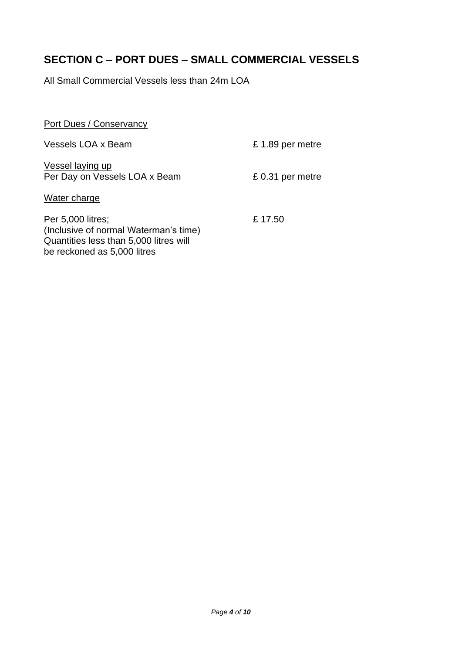### **SECTION C – PORT DUES – SMALL COMMERCIAL VESSELS**

All Small Commercial Vessels less than 24m LOA

| Port Dues / Conservancy                                                                                                             |                  |
|-------------------------------------------------------------------------------------------------------------------------------------|------------------|
| Vessels LOA x Beam                                                                                                                  | £1.89 per metre  |
| Vessel laying up<br>Per Day on Vessels LOA x Beam                                                                                   | £ 0.31 per metre |
| Water charge                                                                                                                        |                  |
| Per 5,000 litres;<br>(Inclusive of normal Waterman's time)<br>Quantities less than 5,000 litres will<br>be reckoned as 5,000 litres | £17.50           |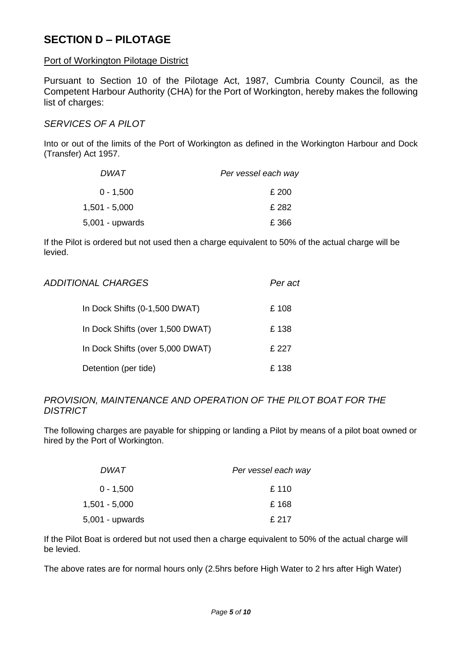#### **SECTION D – PILOTAGE**

#### Port of Workington Pilotage District

Pursuant to Section 10 of the Pilotage Act, 1987, Cumbria County Council, as the Competent Harbour Authority (CHA) for the Port of Workington, hereby makes the following list of charges:

#### *SERVICES OF A PILOT*

Into or out of the limits of the Port of Workington as defined in the Workington Harbour and Dock (Transfer) Act 1957.

| DWAT              | Per vessel each way |
|-------------------|---------------------|
| $0 - 1,500$       | £ 200               |
| $1,501 - 5,000$   | £282                |
| $5,001$ - upwards | £366                |

If the Pilot is ordered but not used then a charge equivalent to 50% of the actual charge will be levied.

| <i>ADDITIONAL CHARGES</i>        | Per act |
|----------------------------------|---------|
| In Dock Shifts (0-1,500 DWAT)    | £108    |
| In Dock Shifts (over 1,500 DWAT) | £138    |
| In Dock Shifts (over 5,000 DWAT) | £ 227   |
| Detention (per tide)             | £ 138   |

#### *PROVISION, MAINTENANCE AND OPERATION OF THE PILOT BOAT FOR THE DISTRICT*

The following charges are payable for shipping or landing a Pilot by means of a pilot boat owned or hired by the Port of Workington.

| DWAT.             | Per vessel each way |
|-------------------|---------------------|
| $0 - 1,500$       | £ 110               |
| $1,501 - 5,000$   | £168                |
| $5,001$ - upwards | £ 217               |

If the Pilot Boat is ordered but not used then a charge equivalent to 50% of the actual charge will be levied.

The above rates are for normal hours only (2.5hrs before High Water to 2 hrs after High Water)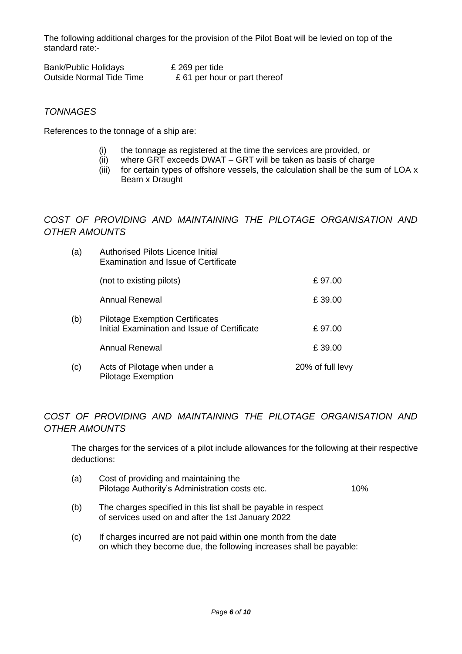The following additional charges for the provision of the Pilot Boat will be levied on top of the standard rate:-

| <b>Bank/Public Holidays</b>     | £ 269 per tide                |
|---------------------------------|-------------------------------|
| <b>Outside Normal Tide Time</b> | £ 61 per hour or part thereof |

#### *TONNAGES*

References to the tonnage of a ship are:

- (i) the tonnage as registered at the time the services are provided, or
- (ii) where GRT exceeds DWAT GRT will be taken as basis of charge
- (iii) for certain types of offshore vessels, the calculation shall be the sum of LOA x Beam x Draught

*COST OF PROVIDING AND MAINTAINING THE PILOTAGE ORGANISATION AND OTHER AMOUNTS*

| (a) | <b>Authorised Pilots Licence Initial</b><br><b>Examination and Issue of Certificate</b> |                  |
|-----|-----------------------------------------------------------------------------------------|------------------|
|     | (not to existing pilots)                                                                | £97.00           |
|     | Annual Renewal                                                                          | £39.00           |
| (b) | <b>Pilotage Exemption Certificates</b><br>Initial Examination and Issue of Certificate  | £97.00           |
|     | Annual Renewal                                                                          | £39.00           |
| (c) | Acts of Pilotage when under a<br><b>Pilotage Exemption</b>                              | 20% of full levy |

#### *COST OF PROVIDING AND MAINTAINING THE PILOTAGE ORGANISATION AND OTHER AMOUNTS*

The charges for the services of a pilot include allowances for the following at their respective deductions:

- (a) Cost of providing and maintaining the Pilotage Authority's Administration costs etc. 10%
- (b) The charges specified in this list shall be payable in respect of services used on and after the 1st January 2022
- (c) If charges incurred are not paid within one month from the date on which they become due, the following increases shall be payable: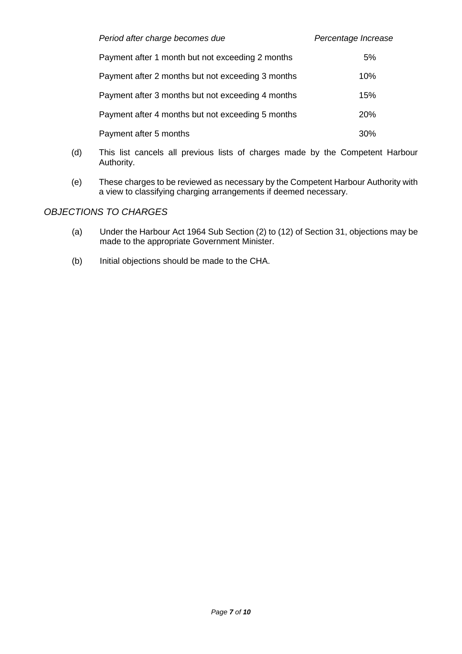| Period after charge becomes due                   | Percentage Increase |
|---------------------------------------------------|---------------------|
| Payment after 1 month but not exceeding 2 months  | 5%                  |
| Payment after 2 months but not exceeding 3 months | 10%                 |
| Payment after 3 months but not exceeding 4 months | 15%                 |
| Payment after 4 months but not exceeding 5 months | <b>20%</b>          |
| Payment after 5 months                            | 30%                 |

- (d) This list cancels all previous lists of charges made by the Competent Harbour Authority.
- (e) These charges to be reviewed as necessary by the Competent Harbour Authority with a view to classifying charging arrangements if deemed necessary.

#### *OBJECTIONS TO CHARGES*

- (a) Under the Harbour Act 1964 Sub Section (2) to (12) of Section 31, objections may be made to the appropriate Government Minister.
- (b) Initial objections should be made to the CHA.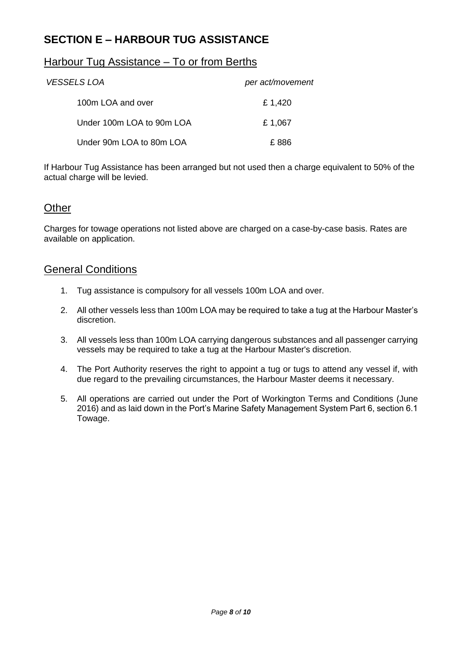#### **SECTION E – HARBOUR TUG ASSISTANCE**

#### Harbour Tug Assistance – To or from Berths

| <i>VESSELS LOA</i>        | per act/movement |
|---------------------------|------------------|
| 100m LOA and over         | £1,420           |
| Under 100m LOA to 90m LOA | £1,067           |
| Under 90m LOA to 80m LOA  | F 886            |

If Harbour Tug Assistance has been arranged but not used then a charge equivalent to 50% of the actual charge will be levied.

#### **Other**

Charges for towage operations not listed above are charged on a case-by-case basis. Rates are available on application.

#### General Conditions

- 1. Tug assistance is compulsory for all vessels 100m LOA and over.
- 2. All other vessels less than 100m LOA may be required to take a tug at the Harbour Master's discretion.
- 3. All vessels less than 100m LOA carrying dangerous substances and all passenger carrying vessels may be required to take a tug at the Harbour Master's discretion.
- 4. The Port Authority reserves the right to appoint a tug or tugs to attend any vessel if, with due regard to the prevailing circumstances, the Harbour Master deems it necessary.
- 5. All operations are carried out under the Port of Workington Terms and Conditions (June 2016) and as laid down in the Port's Marine Safety Management System Part 6, section 6.1 Towage.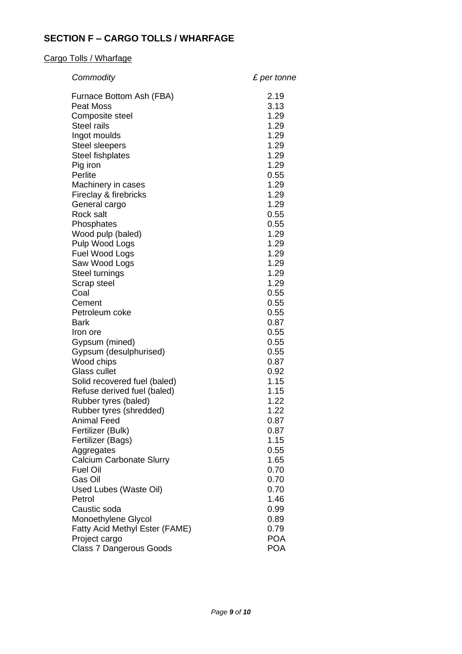#### **SECTION F – CARGO TOLLS / WHARFAGE**

#### Cargo Tolls / Wharfage

| Commodity                                                   | £ per tonne  |
|-------------------------------------------------------------|--------------|
| Furnace Bottom Ash (FBA)                                    | 2.19         |
| <b>Peat Moss</b>                                            | 3.13         |
| Composite steel                                             | 1.29         |
| <b>Steel rails</b>                                          | 1.29         |
| Ingot moulds                                                | 1.29         |
| <b>Steel sleepers</b>                                       | 1.29         |
| <b>Steel fishplates</b>                                     | 1.29         |
| Pig iron<br>Perlite                                         | 1.29         |
| Machinery in cases                                          | 0.55<br>1.29 |
| Fireclay & firebricks                                       | 1.29         |
| General cargo                                               | 1.29         |
| <b>Rock salt</b>                                            | 0.55         |
| Phosphates                                                  | 0.55         |
| Wood pulp (baled)                                           | 1.29         |
| Pulp Wood Logs                                              | 1.29         |
| Fuel Wood Logs                                              | 1.29         |
| Saw Wood Logs                                               | 1.29         |
| Steel turnings                                              | 1.29         |
| Scrap steel                                                 | 1.29         |
| Coal                                                        | 0.55         |
| Cement                                                      | 0.55         |
| Petroleum coke                                              | 0.55         |
| <b>Bark</b>                                                 | 0.87         |
| Iron ore                                                    | 0.55         |
| Gypsum (mined)                                              | 0.55         |
| Gypsum (desulphurised)                                      | 0.55         |
| Wood chips                                                  | 0.87         |
| Glass cullet                                                | 0.92<br>1.15 |
| Solid recovered fuel (baled)<br>Refuse derived fuel (baled) | 1.15         |
| Rubber tyres (baled)                                        | 1.22         |
| Rubber tyres (shredded)                                     | 1.22         |
| Animal Feed                                                 | 0.87         |
| Fertilizer (Bulk)                                           | 0.87         |
| Fertilizer (Bags)                                           | 1.15         |
| Aggregates                                                  | 0.55         |
| <b>Calcium Carbonate Slurry</b>                             | 1.65         |
| <b>Fuel Oil</b>                                             | 0.70         |
| Gas Oil                                                     | 0.70         |
| Used Lubes (Waste Oil)                                      | 0.70         |
| Petrol                                                      | 1.46         |
| Caustic soda                                                | 0.99         |
| Monoethylene Glycol                                         | 0.89         |
| Fatty Acid Methyl Ester (FAME)                              | 0.79         |
| Project cargo                                               | <b>POA</b>   |
| Class 7 Dangerous Goods                                     | <b>POA</b>   |